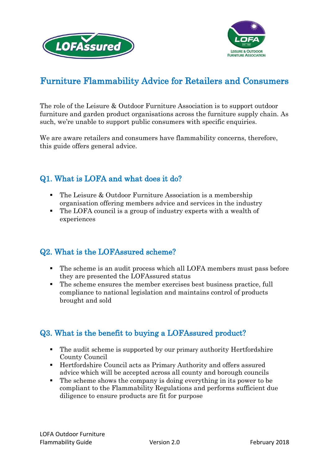





# Furniture Flammability Advice for Retailers and Consumers

The role of the Leisure & Outdoor Furniture Association is to support outdoor furniture and garden product organisations across the furniture supply chain. As such, we're unable to support public consumers with specific enquiries.

We are aware retailers and consumers have flammability concerns, therefore, this guide offers general advice.

## Q1. What is LOFA and what does it do?

- The Leisure & Outdoor Furniture Association is a membership organisation offering members advice and services in the industry
- The LOFA council is a group of industry experts with a wealth of experiences

### Q2. What is the LOFAssured scheme?

- The scheme is an audit process which all LOFA members must pass before they are presented the LOFAssured status
- The scheme ensures the member exercises best business practice, full compliance to national legislation and maintains control of products brought and sold

### Q3. What is the benefit to buying a LOFAssured product?

- The audit scheme is supported by our primary authority Hertfordshire County Council
- Hertfordshire Council acts as Primary Authority and offers assured advice which will be accepted across all county and borough councils
- The scheme shows the company is doing everything in its power to be compliant to the Flammability Regulations and performs sufficient due diligence to ensure products are fit for purpose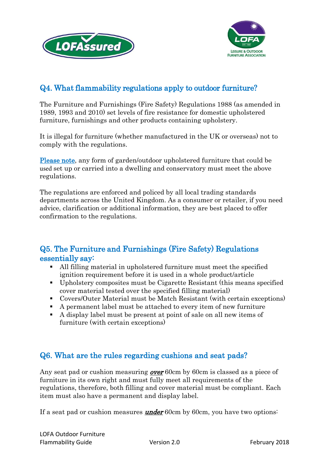



### Q4. What flammability regulations apply to outdoor furniture?

The Furniture and Furnishings (Fire Safety) Regulations 1988 (as amended in 1989, 1993 and 2010) set levels of fire resistance for domestic upholstered furniture, furnishings and other products containing upholstery.

It is illegal for furniture (whether manufactured in the UK or overseas) not to comply with the regulations.

Please note, any form of garden/outdoor upholstered furniture that could be used set up or carried into a dwelling and conservatory must meet the above regulations.

The regulations are enforced and policed by all local trading standards departments across the United Kingdom. As a consumer or retailer, if you need advice, clarification or additional information, they are best placed to offer confirmation to the regulations.

### Q5. The Furniture and Furnishings (Fire Safety) Regulations essentially say:

- All filling material in upholstered furniture must meet the specified ignition requirement before it is used in a whole product/article
- Upholstery composites must be Cigarette Resistant (this means specified cover material tested over the specified filling material)
- Covers/Outer Material must be Match Resistant (with certain exceptions)
- A permanent label must be attached to every item of new furniture
- A display label must be present at point of sale on all new items of furniture (with certain exceptions)

### Q6. What are the rules regarding cushions and seat pads?

Any seat pad or cushion measuring **over** 60cm by 60cm is classed as a piece of furniture in its own right and must fully meet all requirements of the regulations, therefore, both filling and cover material must be compliant. Each item must also have a permanent and display label.

If a seat pad or cushion measures **under** 60cm by 60cm, you have two options: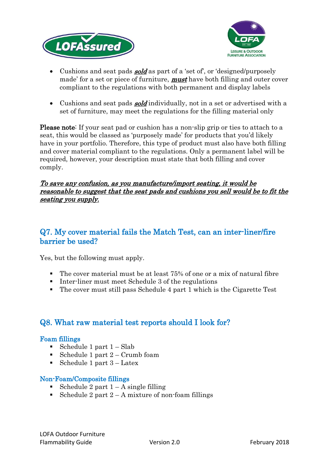



- Cushions and seat pads **sold** as part of a 'set of', or 'designed/purposely made' for a set or piece of furniture, **must** have both filling and outer cover compliant to the regulations with both permanent and display labels
- Cushions and seat pads **sold** individually, not in a set or advertised with a set of furniture, may meet the regulations for the filling material only

Please note: If your seat pad or cushion has a non-slip grip or ties to attach to a seat, this would be classed as 'purposely made' for products that you'd likely have in your portfolio. Therefore, this type of product must also have both filling and cover material compliant to the regulations. Only a permanent label will be required, however, your description must state that both filling and cover comply.

#### To save any confusion, as you manufacture/import seating, it would be reasonable to suggest that the seat pads and cushions you sell would be to fit the seating you supply.

### Q7. My cover material fails the Match Test, can an inter-liner/fire barrier be used?

Yes, but the following must apply.

- The cover material must be at least 75% of one or a mix of natural fibre
- Inter-liner must meet Schedule 3 of the regulations
- The cover must still pass Schedule 4 part 1 which is the Cigarette Test

### Q8. What raw material test reports should I look for?

#### Foam fillings

- Schedule 1 part  $1 Slab$
- Schedule 1 part  $2$  Crumb foam
- Schedule 1 part  $3 -$ Latex

#### Non-Foam/Composite fillings

- Schedule 2 part  $1 A$  single filling
- Schedule 2 part  $2 A$  mixture of non-foam fillings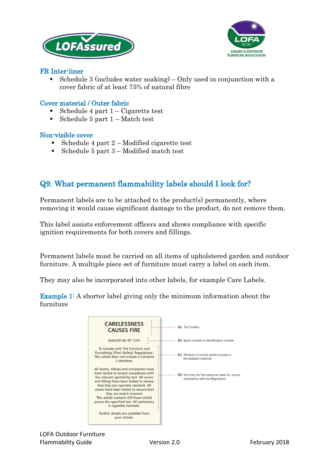



#### FR Inter-liner

 Schedule 3 (includes water soaking) – Only used in conjunction with a cover fabric of at least 75% of natural fibre

#### Cover material / Outer fabric

- Schedule 4 part 1 Cigarette test
- Schedule 5 part  $1 Match$  test

#### Non-visible cover

- Schedule 4 part  $2$  Modified cigarette test
- Schedule 5 part  $3$  Modified match test

### Q9. What permanent flammability labels should I look for?

Permanent labels are to be attached to the product(s) permanently, where removing it would cause significant damage to the product, do not remove them.

This label assists enforcement officers and shows compliance with specific ignition requirements for both covers and fillings.

Permanent labels must be carried on all items of upholstered garden and outdoor furniture. A multiple piece set of furniture must carry a label on each item.

They may also be incorporated into other labels, for example Care Labels.

Example 1: A shorter label giving only the minimum information about the furniture

| <b>CARELESSNESS</b><br><b>CAUSES FIRE</b>                                                                                                                                                                                                                                                                                                                                                                | (a) The Caution                                                                 |
|----------------------------------------------------------------------------------------------------------------------------------------------------------------------------------------------------------------------------------------------------------------------------------------------------------------------------------------------------------------------------------------------------------|---------------------------------------------------------------------------------|
| Batch/ID No OF 1234                                                                                                                                                                                                                                                                                                                                                                                      | (b) Batch number or identification number                                       |
| To comply with The Furniture and<br>Furnishings (Fire) (Safety) Regulations:<br>This article does not include a Schedule<br>3 interliner.                                                                                                                                                                                                                                                                | (c) Whether or not the article includes a<br>fire-resistant interliner          |
| All foams, fillings and composites have<br>been tested to ensure compliance with<br>the relevant ignitability test. All covers<br>and fillings have been tested to ensure<br>that they are cigarette resistant. All<br>covers have been tested to ensure that<br>they are match resistant<br>This article contains CM Foam which<br>passes the specified test. All upholstery<br>is cigarette resistant. | (d) Summary for the measures taken to ensure<br>compliance with the Regulations |
| Further details are available from<br>your retailer.                                                                                                                                                                                                                                                                                                                                                     |                                                                                 |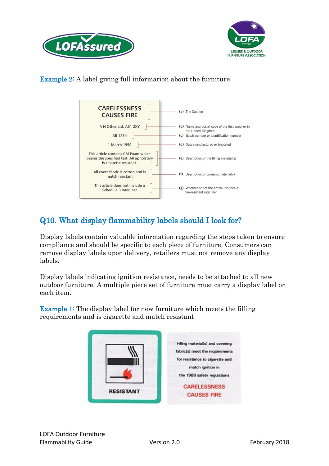



Example 2: A label giving full information about the furniture



# Q10. What display flammability labels should I look for?

Display labels contain valuable information regarding the steps taken to ensure compliance and should be specific to each piece of furniture. Consumers can remove display labels upon delivery, retailers must not remove any display labels.

Display labels indicating ignition resistance, needs to be attached to all new outdoor furniture. A multiple piece set of furniture must carry a display label on each item.

Example 1: The display label for new furniture which meets the filling requirements and is cigarette and match resistant

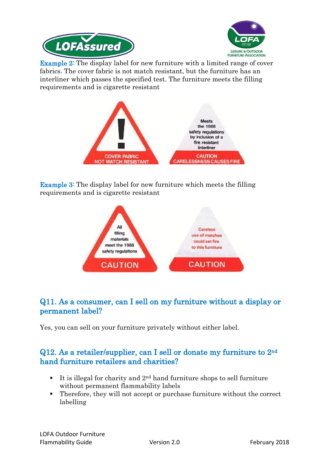



**Example 2:** The display label for new furniture with a limited range of cover fabrics. The cover fabric is not match resistant, but the furniture has an interliner which passes the specified test. The furniture meets the filling requirements and is cigarette resistant



Example 3: The display label for new furniture which meets the filling requirements and is cigarette resistant



### Q11. As a consumer, can I sell on my furniture without a display or permanent label?

Yes, you can sell on your furniture privately without either label.

### Q12. As a retailer/supplier, can I sell or donate my furniture to 2nd hand furniture retailers and charities?

- It is illegal for charity and  $2<sup>nd</sup>$  hand furniture shops to sell furniture without permanent flammability labels
- Therefore, they will not accept or purchase furniture without the correct labelling